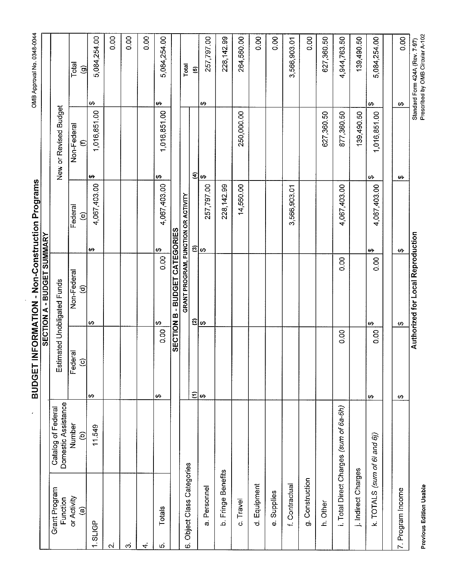| $-7.97$<br>$\triangle$ (Re<br>5<br> <br> <br>l Enro 1<br><b>Captain</b> | ı.<br>by OMB Cl<br>)<br>= |
|-------------------------------------------------------------------------|---------------------------|
|                                                                         |                           |

Authorized for Local Reproduction

OMB Approval No. 0348-0044 0.00 0.00  $0.00$  $\overline{50}$  $0.00$  $0.00$ 5,084,254.00 5,084,254.00 228, 142.99 264,560.00  $0.00$ 4.944,763.50 139,490.50 5,084,254.00 257,797.00 3,566,903.01 627,360.50 Total Total  $\Theta$  $\overline{6}$  $\boldsymbol{\varphi}$ ↮ မာ  $\boldsymbol{\varphi}$ s New or Revised Budget 1,016,851.00 1,016,851.00 250,000.00 627,360.50 877,360.50 139,490.50 1,016,851.00 Non-Federal €  $\widehat{\mathbf{z}}$ ₩ b9 Ø ↮  $\leftrightarrow$ BUDGET INFORMATION - Non-Construction Programs 4,067,403.00 4,067,403.00 257,797.00 228, 142.99 14,560.00 4 067,403.00 3,566,903.01 4,067,403.00 GRANT PROGRAM, FUNCTION OR ACTIVITY Federal  $\circledcirc$ SECTION B-BUDGET CATEGORIES **SECTION A - BUDGET SUMMARY**  $0.00 \frac{9}{2}$ මුල ₩ ↔ Ψ÷  $\overline{0.00}$ 0.00 Non-Federal Estimated Unobligated Funds  $\widehat{\sigma}$  $0.00^{6}$ ସ|ଡ  $\leftrightarrow$ ക မာ  $0.00$ 0.00 Federal  $\odot$  $\widehat{\Xi}$ ↮  $\Theta$ ↔ ↮  $\pmb{\leftrightarrow}$ Domestic Assistance i. Total Direct Charges (sum of 6a-6h) Catalog of Federal Number 11.549  $\widehat{e}$ k. TOTALS (sum of 6i and 6j) 6. Object Class Categories j. Indirect Charges b. Fringe Benefits g. Construction d. Equipment f. Contractual a. Personnel Grant Program 7. Program Income e. Supplies or Activity Function c. Travel h. Other Totals  $\widehat{\mathfrak{G}}$ 1.SLIGP ကဲ ယ္ပံ Ń۰ 4.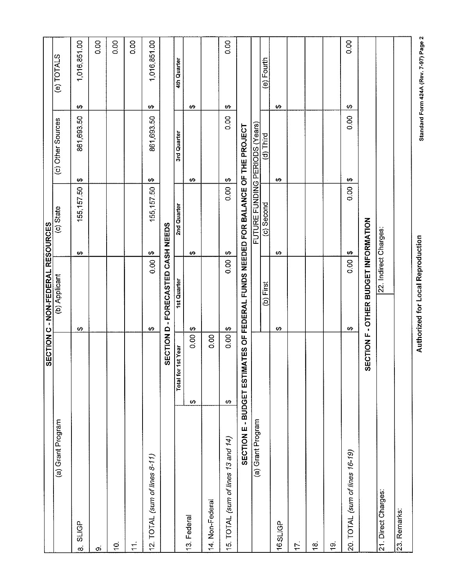|                                    |                                  | <b>SECTION C - NON-FEDERAL RESOURCES</b>                                        |                                      |                                       |                                       |
|------------------------------------|----------------------------------|---------------------------------------------------------------------------------|--------------------------------------|---------------------------------------|---------------------------------------|
| (a) Grant Program                  |                                  | (b) Applicant                                                                   | (c) State                            | (c) Other Sources                     | (e) TOTALS                            |
| SLIGP<br>$\dot{\infty}$            |                                  | ↔                                                                               | 155, 157.50<br>$\boldsymbol{\omega}$ | 861,693.50<br>$\pmb{\leftrightarrow}$ | 1,016,851.00<br>↔                     |
| $\infty$                           |                                  |                                                                                 |                                      |                                       | 0.00                                  |
| ö,                                 |                                  |                                                                                 |                                      |                                       | 0.00                                  |
| $\pm$                              |                                  |                                                                                 |                                      |                                       | $\frac{0}{0}$                         |
| 12. TOTAL (sum of lines 8-11)      |                                  | $\overline{5}$<br>↔                                                             | 155,157.50<br>$\Theta$               | 861,693.50<br>↮                       | 1,016,851.00<br>မာ                    |
|                                    |                                  | SECTION D-FORECASTED CASH NEEDS                                                 |                                      |                                       |                                       |
|                                    | 1st Year<br>Total for            | <b>1st Quarter</b>                                                              | 2nd Quarter                          | 3rd Quarter                           | 4th Quarter                           |
| 13. Federal                        | 0.00<br>↔                        | ↔                                                                               | $\boldsymbol{\omega}$                | ↔                                     | ↮                                     |
| 14. Non-Federal                    | 0.00                             |                                                                                 |                                      |                                       |                                       |
| 15. TOTAL (sum of lines 13 and 14) | 0.0018<br>$\boldsymbol{\varphi}$ | 0.00                                                                            | $\frac{1}{2}$<br>$\triangle$         | 0.00<br>$\triangle$                   | O.OO<br>$\boldsymbol{\varphi}$        |
|                                    |                                  | SECTION E - BUDGET ESTIMATES OF FEDERAL FUNDS NEEDED FOR BALANCE OF THE PROJECT |                                      |                                       |                                       |
| (a) Grant Program                  |                                  |                                                                                 |                                      | FUTURE FUNDING PERIODS (Years)        |                                       |
|                                    |                                  | (b) First                                                                       | $(c)$ Second                         | (d) Third                             | (e) Fourth                            |
| 16.SLIGP                           |                                  | ↔                                                                               | ↔                                    | $\boldsymbol{\varphi}$                | ↮                                     |
| 17.                                |                                  |                                                                                 |                                      |                                       |                                       |
| $\frac{\infty}{\tau}$              |                                  |                                                                                 |                                      |                                       |                                       |
| ф.                                 |                                  |                                                                                 |                                      |                                       |                                       |
| 20. TOTAL (sum of lines 16-19)     |                                  | 0.00<br>49                                                                      | 0.00<br>$\Theta$                     | 80<br>₩                               | 0.00<br>$\boldsymbol{\varphi}$        |
|                                    |                                  | SECTION F - OTHER BUDGET INFORMATION                                            |                                      |                                       |                                       |
| 21. Direct Charges:                |                                  | 22. Indirect Charges:                                                           |                                      |                                       |                                       |
| 23. Remarks:                       |                                  |                                                                                 |                                      |                                       |                                       |
|                                    |                                  | Authorized for Local Reproduction                                               |                                      |                                       | Standard Form 424A (Rev. 7-97) Page 2 |

Standard Form 424A (Rev. 7-97) Page 2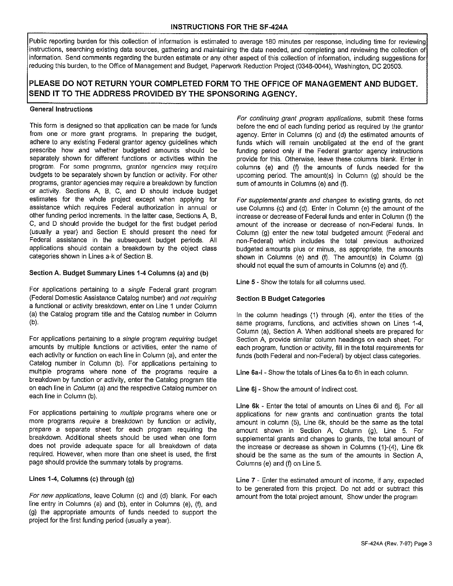Public reporting burden for this collection of information is estimated to average 180 minutes per response, including time for reviewing instructions, searching existing data sources, gathering and maintaining the data needed, and completing and reviewing the collection of information. Send comments regarding the burden estimate or any other aspect of this collection of information, including suggestions for reducing this burden, to the Office of Management and Budget, Paperwork Reduction Project (0348-0044), Washington, DC 20503.

# PLEASE DO NOT RETURN YOUR COMPLETED FORM TO THE OFFICE OF MANAGEMENT AND BUDGET. SEND IT TO THE ADDRESS PROVIDED BY THE SPONSORING AGENCY.

#### **General Instructions**

This form is designed so that application can be made for funds from one or more grant programs. In preparing the budget, adhere to any existing Federal grantor agency guidelines which prescribe how and whether budgeted amounts should be separately shown for different functions or activities within the program. For some programs, grantor agencies may require budgets to be separately shown by function or activity. For other programs, grantor agencies may require a breakdown by function or activity. Sections A, B, C, and D should include budget estimates for the whole project except when applying for assistance which requires Federal authorization in annual or other funding period increments. In the latter case, Sections A, B, C, and D should provide the budget for the first budget period (usually a year) and Section E should present the need for Federal assistance in the subsequent budget periods. All applications should contain a breakdown by the object class categories shown in Lines a-k of Section B.

#### Section A. Budget Summary Lines 1-4 Columns (a) and (b)

For applications pertaining to a single Federal grant program (Federal Domestic Assistance Catalog number) and not requiring a functional or activity breakdown, enter on Line 1 under Column (a) the Catalog program title and the Catalog number in Column (b).

For applications pertaining to a single program requiring budget amounts by multiple functions or activities, enter the name of each activity or function on each line in Column (a), and enter the Catalog number in Column (b). For applications pertaining to multiple programs where none of the programs require a breakdown by function or activity, enter the Catalog program title on each line in Column (a) and the respective Catalog number on each line in Column (b).

For applications pertaining to *multiple* programs where one or more programs require a breakdown by function or activity, prepare a separate sheet for each program requiring the breakdown. Additional sheets should be used when one form does not provide adequate space for all breakdown of data required. However, when more than one sheet is used, the first page should provide the summary totals by programs.

#### Lines 1-4, Columns (c) through (g)

For new applications, leave Column (c) and (d) blank. For each line entry in Columns (a) and (b), enter in Columns (e), (f), and (g) the appropriate amounts of funds needed to support the project for the first funding period (usually a year).

For continuing grant program applications, submit these forms before the end of each funding period as required by the grantor agency. Enter in Columns (c) and (d) the estimated amounts of funds which will remain unobligated at the end of the grant funding period only if the Federal grantor agency instructions provide for this. Otherwise, leave these columns blank. Enter in columns (e) and (f) the amounts of funds needed for the upcoming period. The amount(s) in Column (g) should be the sum of amounts in Columns (e) and (f).

For supplemental grants and changes to existing grants, do not use Columns (c) and (d). Enter in Column (e) the amount of the increase or decrease of Federal funds and enter in Column (f) the amount of the increase or decrease of non-Federal funds. In Column (g) enter the new total budgeted amount (Federal and non-Federal) which includes the total previous authorized budgeted amounts plus or minus, as appropriate, the amounts shown in Columns (e) and (f). The amount(s) in Column (g) should not equal the sum of amounts in Columns (e) and (f).

Line 5 - Show the totals for all columns used.

### **Section B Budget Categories**

In the column headings (1) through (4), enter the titles of the same programs, functions, and activities shown on Lines 1-4. Column (a), Section A. When additional sheets are prepared for Section A, provide similar column headings on each sheet. For each program, function or activity, fill in the total requirements for funds (both Federal and non-Federal) by object class categories.

Line 6a-i - Show the totals of Lines 6a to 6h in each column.

Line 6j - Show the amount of indirect cost.

Line 6k - Enter the total of amounts on Lines 6i and 6j. For all applications for new grants and continuation grants the total amount in column (5). Line 6k, should be the same as the total amount shown in Section A, Column (g), Line 5. For supplemental grants and changes to grants, the total amount of the increase or decrease as shown in Columns (1)-(4), Line 6k should be the same as the sum of the amounts in Section A, Columns (e) and (f) on Line 5.

Line 7 - Enter the estimated amount of income, if any, expected to be generated from this project. Do not add or subtract this amount from the total project amount. Show under the program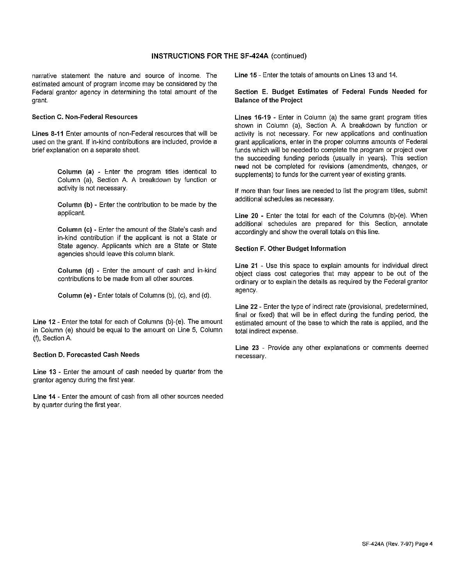#### **INSTRUCTIONS FOR THE SF-424A (continued)**

narrative statement the nature and source of income. The estimated amount of program income may be considered by the Federal grantor agency in determining the total amount of the orant.

#### Section C. Non-Federal Resources

Lines 8-11 Enter amounts of non-Federal resources that will be used on the grant. If in-kind contributions are included, provide a brief explanation on a separate sheet.

> Column (a) - Enter the program titles identical to Column (a), Section A. A breakdown by function or activity is not necessary.

> Column (b) - Enter the contribution to be made by the applicant.

> Column (c) - Enter the amount of the State's cash and in-kind contribution if the applicant is not a State or State agency. Applicants which are a State or State agencies should leave this column blank.

> Column (d) - Enter the amount of cash and in-kind contributions to be made from all other sources.

Column (e) - Enter totals of Columns (b), (c), and (d).

Line 12 - Enter the total for each of Columns (b)-(e). The amount in Column (e) should be equal to the amount on Line 5, Column (f), Section A.

#### **Section D. Forecasted Cash Needs**

Line 13 - Enter the amount of cash needed by quarter from the grantor agency during the first year.

Line 14 - Enter the amount of cash from all other sources needed by quarter during the first year.

Line 15 - Enter the totals of amounts on Lines 13 and 14.

#### Section E. Budget Estimates of Federal Funds Needed for **Balance of the Project**

Lines 16-19 - Enter in Column (a) the same grant program titles shown in Column (a), Section A. A breakdown by function or activity is not necessary. For new applications and continuation grant applications, enter in the proper columns amounts of Federal funds which will be needed to complete the program or project over the succeeding funding periods (usually in years). This section need not be completed for revisions (amendments, changes, or supplements) to funds for the current year of existing grants.

If more than four lines are needed to list the program titles, submit additional schedules as necessary.

Line 20 - Enter the total for each of the Columns (b)-(e). When additional schedules are prepared for this Section, annotate accordingly and show the overall totals on this line.

#### Section F. Other Budget Information

Line 21 - Use this space to explain amounts for individual direct object class cost categories that may appear to be out of the ordinary or to explain the details as required by the Federal grantor agency.

Line 22 - Enter the type of indirect rate (provisional, predetermined, final or fixed) that will be in effect during the funding period, the estimated amount of the base to which the rate is applied, and the total indirect expense.

Line 23 - Provide any other explanations or comments deemed necessary.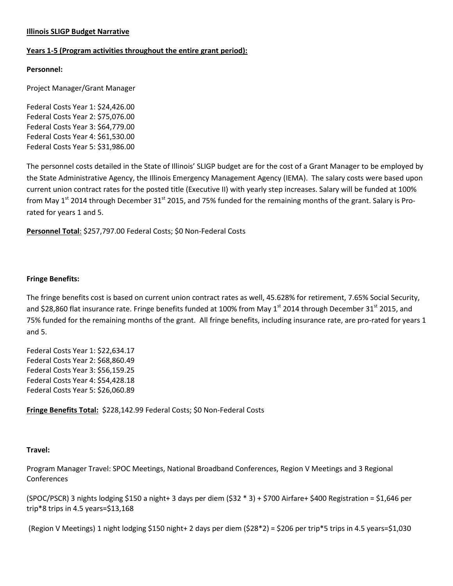## **Illinois SLIGP Budget Narrative**

## **Years 1-5 (Program activities throughout the entire grant period):**

## **Personnel:**

Project Manager/Grant Manager

Federal Costs Year 1: \$24,426.00 Federal Costs Year 2: \$75,076.00 Federal Costs Year 3: \$64,779.00 Federal Costs Year 4: \$61,530.00 Federal Costs Year 5: \$31,986.00

The personnel costs detailed in the State of Illinois' SLIGP budget are for the cost of a Grant Manager to be employed by the State Administrative Agency, the Illinois Emergency Management Agency (IEMA). The salary costs were based upon current union contract rates for the posted title (Executive II) with yearly step increases. Salary will be funded at 100% from May  $1<sup>st</sup>$  2014 through December 31 $<sup>st</sup>$  2015, and 75% funded for the remaining months of the grant. Salary is Pro-</sup> rated for years 1 and 5.

**Personnel Total**: \$257,797.00 Federal Costs; \$0 Non-Federal Costs

### **Fringe Benefits:**

The fringe benefits cost is based on current union contract rates as well, 45.628% for retirement, 7.65% Social Security, and \$28,860 flat insurance rate. Fringe benefits funded at 100% from May 1<sup>st</sup> 2014 through December 31<sup>st</sup> 2015, and 75% funded for the remaining months of the grant. All fringe benefits, including insurance rate, are pro-rated for years 1 and 5.

Federal Costs Year 1: \$22,634.17 Federal Costs Year 2: \$68,860.49 Federal Costs Year 3: \$56,159.25 Federal Costs Year 4: \$54,428.18 Federal Costs Year 5: \$26,060.89

**Fringe Benefits Total:** \$228,142.99 Federal Costs; \$0 Non-Federal Costs

### **Travel:**

Program Manager Travel: SPOC Meetings, National Broadband Conferences, Region V Meetings and 3 Regional Conferences

(SPOC/PSCR) 3 nights lodging \$150 a night+ 3 days per diem (\$32 \* 3) + \$700 Airfare+ \$400 Registration = \$1,646 per trip\*8 trips in 4.5 years=\$13,168

(Region V Meetings) 1 night lodging \$150 night+ 2 days per diem (\$28\*2) = \$206 per trip\*5 trips in 4.5 years=\$1,030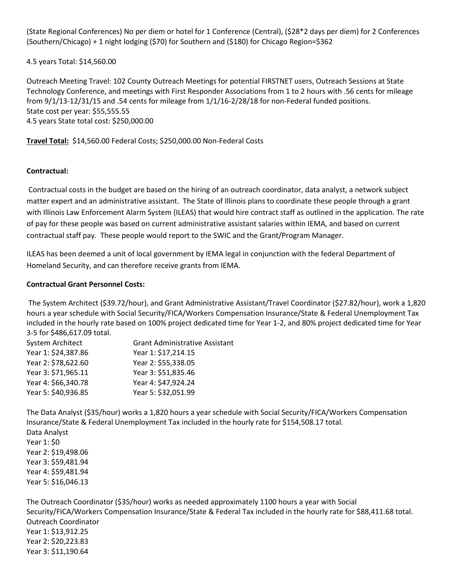(State Regional Conferences) No per diem or hotel for 1 Conference (Central), (\$28\*2 days per diem) for 2 Conferences (Southern/Chicago) + 1 night lodging (\$70) for Southern and (\$180) for Chicago Region=\$362

4.5 years Total: \$14,560.00

Outreach Meeting Travel: 102 County Outreach Meetings for potential FIRSTNET users, Outreach Sessions at State Technology Conference, and meetings with First Responder Associations from 1 to 2 hours with .56 cents for mileage from 9/1/13-12/31/15 and .54 cents for mileage from 1/1/16-2/28/18 for non-Federal funded positions. State cost per year: \$55,555.55 4.5 years State total cost: \$250,000.00

**Travel Total:** \$14,560.00 Federal Costs; \$250,000.00 Non-Federal Costs

# **Contractual:**

Contractual costs in the budget are based on the hiring of an outreach coordinator, data analyst, a network subject matter expert and an administrative assistant. The State of Illinois plans to coordinate these people through a grant with Illinois Law Enforcement Alarm System (ILEAS) that would hire contract staff as outlined in the application. The rate of pay for these people was based on current administrative assistant salaries within IEMA, and based on current contractual staff pay. These people would report to the SWIC and the Grant/Program Manager.

ILEAS has been deemed a unit of local government by IEMA legal in conjunction with the federal Department of Homeland Security, and can therefore receive grants from IEMA.

## **Contractual Grant Personnel Costs:**

The System Architect (\$39.72/hour), and Grant Administrative Assistant/Travel Coordinator (\$27.82/hour), work a 1,820 hours a year schedule with Social Security/FICA/Workers Compensation Insurance/State & Federal Unemployment Tax included in the hourly rate based on 100% project dedicated time for Year 1-2, and 80% project dedicated time for Year 3-5 for \$486,617.09 total.

| System Architect    | <b>Grant Administrative Assistant</b> |
|---------------------|---------------------------------------|
| Year 1: \$24,387.86 | Year 1: \$17,214.15                   |
| Year 2: \$78,622.60 | Year 2: \$55,338.05                   |
| Year 3: \$71,965.11 | Year 3: \$51,835.46                   |
| Year 4: \$66,340.78 | Year 4: \$47,924.24                   |
| Year 5: \$40,936.85 | Year 5: \$32,051.99                   |

The Data Analyst (\$35/hour) works a 1,820 hours a year schedule with Social Security/FICA/Workers Compensation Insurance/State & Federal Unemployment Tax included in the hourly rate for \$154,508.17 total.

Data Analyst Year 1: \$0 Year 2: \$19,498.06 Year 3: \$59,481.94 Year 4: \$59,481.94 Year 5: \$16,046.13

The Outreach Coordinator (\$35/hour) works as needed approximately 1100 hours a year with Social Security/FICA/Workers Compensation Insurance/State & Federal Tax included in the hourly rate for \$88,411.68 total. Outreach Coordinator Year 1: \$13,912.25 Year 2: \$20,223.83 Year 3: \$11,190.64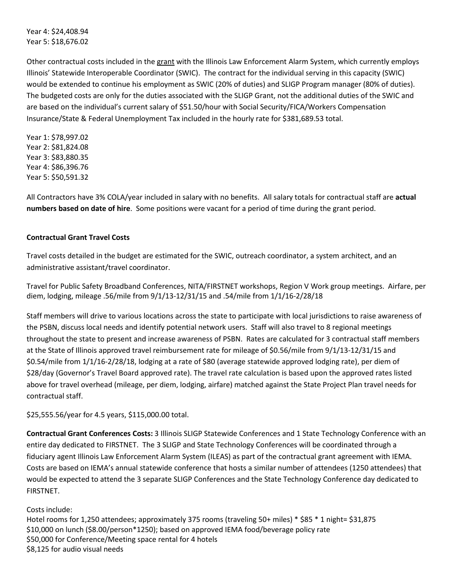Year 4: \$24,408.94 Year 5: \$18,676.02

Other contractual costs included in the grant with the Illinois Law Enforcement Alarm System, which currently employs Illinois' Statewide Interoperable Coordinator (SWIC). The contract for the individual serving in this capacity (SWIC) would be extended to continue his employment as SWIC (20% of duties) and SLIGP Program manager (80% of duties). The budgeted costs are only for the duties associated with the SLIGP Grant, not the additional duties of the SWIC and are based on the individual's current salary of \$51.50/hour with Social Security/FICA/Workers Compensation Insurance/State & Federal Unemployment Tax included in the hourly rate for \$381,689.53 total.

Year 1: \$78,997.02 Year 2: \$81,824.08 Year 3: \$83,880.35 Year 4: \$86,396.76 Year 5: \$50,591.32

All Contractors have 3% COLA/year included in salary with no benefits. All salary totals for contractual staff are **actual numbers based on date of hire**. Some positions were vacant for a period of time during the grant period.

# **Contractual Grant Travel Costs**

Travel costs detailed in the budget are estimated for the SWIC, outreach coordinator, a system architect, and an administrative assistant/travel coordinator.

Travel for Public Safety Broadband Conferences, NITA/FIRSTNET workshops, Region V Work group meetings. Airfare, per diem, lodging, mileage .56/mile from 9/1/13-12/31/15 and .54/mile from 1/1/16-2/28/18

Staff members will drive to various locations across the state to participate with local jurisdictions to raise awareness of the PSBN, discuss local needs and identify potential network users. Staff will also travel to 8 regional meetings throughout the state to present and increase awareness of PSBN. Rates are calculated for 3 contractual staff members at the State of Illinois approved travel reimbursement rate for mileage of \$0.56/mile from 9/1/13-12/31/15 and \$0.54/mile from 1/1/16-2/28/18, lodging at a rate of \$80 (average statewide approved lodging rate), per diem of \$28/day (Governor's Travel Board approved rate). The travel rate calculation is based upon the approved rates listed above for travel overhead (mileage, per diem, lodging, airfare) matched against the State Project Plan travel needs for contractual staff.

\$25,555.56/year for 4.5 years, \$115,000.00 total.

**Contractual Grant Conferences Costs:** 3 Illinois SLIGP Statewide Conferences and 1 State Technology Conference with an entire day dedicated to FIRSTNET. The 3 SLIGP and State Technology Conferences will be coordinated through a fiduciary agent Illinois Law Enforcement Alarm System (ILEAS) as part of the contractual grant agreement with IEMA. Costs are based on IEMA's annual statewide conference that hosts a similar number of attendees (1250 attendees) that would be expected to attend the 3 separate SLIGP Conferences and the State Technology Conference day dedicated to FIRSTNET.

Costs include:

Hotel rooms for 1,250 attendees; approximately 375 rooms (traveling 50+ miles) \* \$85 \* 1 night= \$31,875 \$10,000 on lunch (\$8.00/person\*1250); based on approved IEMA food/beverage policy rate \$50,000 for Conference/Meeting space rental for 4 hotels \$8,125 for audio visual needs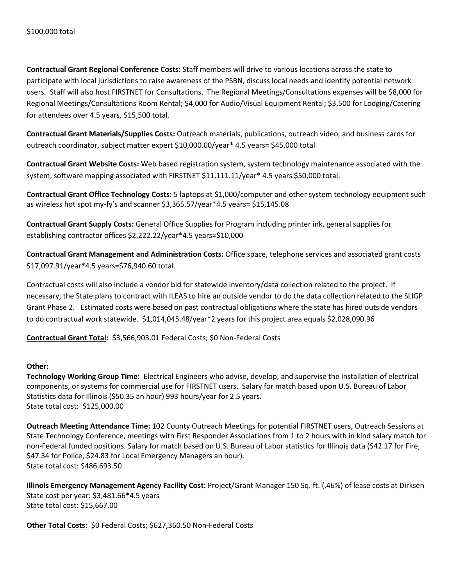**Contractual Grant Regional Conference Costs:** Staff members will drive to various locations across the state to participate with local jurisdictions to raise awareness of the PSBN, discuss local needs and identify potential network users. Staff will also host FIRSTNET for Consultations. The Regional Meetings/Consultations expenses will be \$8,000 for Regional Meetings/Consultations Room Rental; \$4,000 for Audio/Visual Equipment Rental; \$3,500 for Lodging/Catering for attendees over 4.5 years, \$15,500 total.

**Contractual Grant Materials/Supplies Costs:** Outreach materials, publications, outreach video, and business cards for outreach coordinator, subject matter expert \$10,000.00/year\* 4.5 years= \$45,000 total

**Contractual Grant Website Costs:** Web based registration system, system technology maintenance associated with the system, software mapping associated with FIRSTNET \$11,111.11/year\* 4.5 years \$50,000 total.

**Contractual Grant Office Technology Costs:** 5 laptops at \$1,000/computer and other system technology equipment such as wireless hot spot my-fy's and scanner \$3,365.57/year\*4.5 years= \$15,145.08

**Contractual Grant Supply Costs:** General Office Supplies for Program including printer ink, general supplies for establishing contractor offices \$2,222.22/year\*4.5 years=\$10,000

**Contractual Grant Management and Administration Costs:** Office space, telephone services and associated grant costs \$17,097.91/year\*4.5 years=\$76,940.60 total.

Contractual costs will also include a vendor bid for statewide inventory/data collection related to the project. If necessary, the State plans to contract with ILEAS to hire an outside vendor to do the data collection related to the SLIGP Grant Phase 2. Estimated costs were based on past contractual obligations where the state has hired outside vendors to do contractual work statewide. \$1,014,045.48/year\*2 years for this project area equals \$2,028,090.96

**Contractual Grant Total:** \$3,566,903.01 Federal Costs; \$0 Non-Federal Costs

## **Other:**

**Technology Working Group Time:** Electrical Engineers who advise, develop, and supervise the installation of electrical components, or systems for commercial use for FIRSTNET users. Salary for match based upon U.S. Bureau of Labor Statistics data for Illinois (\$50.35 an hour) 993 hours/year for 2.5 years. State total cost: \$125,000.00

**Outreach Meeting Attendance Time:** 102 County Outreach Meetings for potential FIRSTNET users, Outreach Sessions at State Technology Conference, meetings with First Responder Associations from 1 to 2 hours with in kind salary match for non-Federal funded positions. Salary for match based on U.S. Bureau of Labor statistics for Illinois data (\$42.17 for Fire, \$47.34 for Police, \$24.83 for Local Emergency Managers an hour). State total cost: \$486,693.50

**Illinois Emergency Management Agency Facility Cost:** Project/Grant Manager 150 Sq. ft. (.46%) of lease costs at Dirksen State cost per year: \$3,481.66\*4.5 years State total cost: \$15,667.00

**Other Total Costs:** \$0 Federal Costs; \$627,360.50 Non-Federal Costs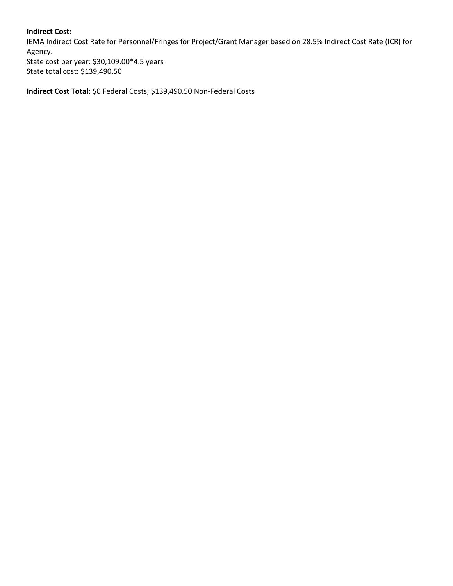# **Indirect Cost:**

IEMA Indirect Cost Rate for Personnel/Fringes for Project/Grant Manager based on 28.5% Indirect Cost Rate (ICR) for Agency. State cost per year: \$30,109.00\*4.5 years State total cost: \$139,490.50

**Indirect Cost Total:** \$0 Federal Costs; \$139,490.50 Non-Federal Costs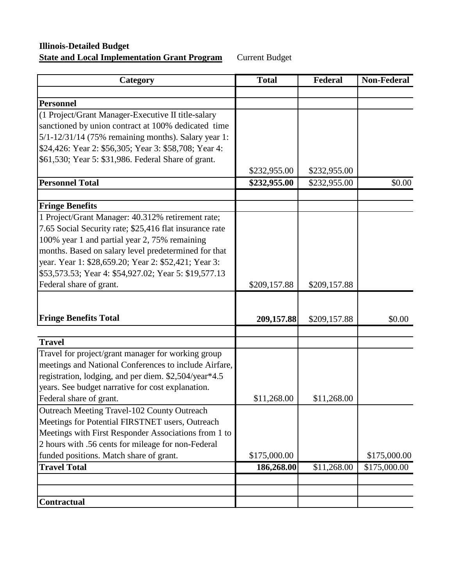# **Illinois-Detailed Budget <u>State and Local Implementation Grant Program</u>** Current Budget

| Category                                                       | <b>Total</b> | <b>Federal</b> | <b>Non-Federal</b>       |
|----------------------------------------------------------------|--------------|----------------|--------------------------|
| <b>Personnel</b>                                               |              |                |                          |
| (1 Project/Grant Manager-Executive II title-salary             |              |                |                          |
| sanctioned by union contract at 100% dedicated time            |              |                |                          |
| 5/1-12/31/14 (75% remaining months). Salary year 1:            |              |                |                          |
| \$24,426: Year 2: \$56,305; Year 3: \$58,708; Year 4:          |              |                |                          |
| \$61,530; Year 5: \$31,986. Federal Share of grant.            |              |                |                          |
|                                                                | \$232,955.00 | \$232,955.00   |                          |
| <b>Personnel Total</b>                                         | \$232,955.00 | \$232,955.00   | \$0.00                   |
| <b>Fringe Benefits</b>                                         |              |                |                          |
| 1 Project/Grant Manager: 40.312% retirement rate;              |              |                |                          |
| 7.65 Social Security rate; \$25,416 flat insurance rate        |              |                |                          |
| 100% year 1 and partial year 2, 75% remaining                  |              |                |                          |
| months. Based on salary level predetermined for that           |              |                |                          |
| year. Year 1: \$28,659.20; Year 2: \$52,421; Year 3:           |              |                |                          |
| \$53,573.53; Year 4: \$54,927.02; Year 5: \$19,577.13          |              |                |                          |
| Federal share of grant.                                        | \$209,157.88 | \$209,157.88   |                          |
|                                                                |              |                |                          |
| <b>Fringe Benefits Total</b>                                   | 209,157.88   | \$209,157.88   | \$0.00                   |
|                                                                |              |                |                          |
| <b>Travel</b>                                                  |              |                |                          |
| Travel for project/grant manager for working group             |              |                |                          |
| meetings and National Conferences to include Airfare,          |              |                |                          |
| registration, lodging, and per diem. \$2,504/year*4.5          |              |                |                          |
| years. See budget narrative for cost explanation.              |              |                |                          |
| Federal share of grant.                                        | \$11,268.00  | \$11,268.00    |                          |
| Outreach Meeting Travel-102 County Outreach                    |              |                |                          |
| Meetings for Potential FIRSTNET users, Outreach                |              |                |                          |
| Meetings with First Responder Associations from 1 to           |              |                |                          |
| 2 hours with .56 cents for mileage for non-Federal             |              |                |                          |
| funded positions. Match share of grant.<br><b>Travel Total</b> | \$175,000.00 |                | \$175,000.00             |
|                                                                | 186,268.00   | \$11,268.00    | $\overline{$}175,000.00$ |
|                                                                |              |                |                          |
| <b>Contractual</b>                                             |              |                |                          |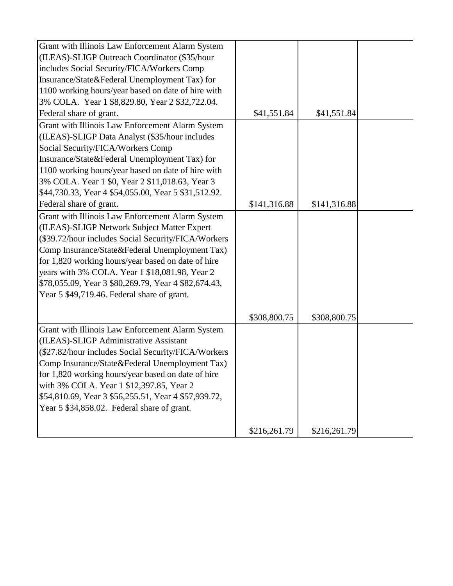| Grant with Illinois Law Enforcement Alarm System     |              |              |  |
|------------------------------------------------------|--------------|--------------|--|
| (ILEAS)-SLIGP Outreach Coordinator (\$35/hour        |              |              |  |
| includes Social Security/FICA/Workers Comp           |              |              |  |
| Insurance/State&Federal Unemployment Tax) for        |              |              |  |
| 1100 working hours/year based on date of hire with   |              |              |  |
| 3% COLA. Year 1 \$8,829.80, Year 2 \$32,722.04.      |              |              |  |
| Federal share of grant.                              | \$41,551.84  | \$41,551.84  |  |
| Grant with Illinois Law Enforcement Alarm System     |              |              |  |
| (ILEAS)-SLIGP Data Analyst (\$35/hour includes       |              |              |  |
| Social Security/FICA/Workers Comp                    |              |              |  |
| Insurance/State&Federal Unemployment Tax) for        |              |              |  |
| 1100 working hours/year based on date of hire with   |              |              |  |
| 3% COLA. Year 1 \$0, Year 2 \$11,018.63, Year 3      |              |              |  |
| \$44,730.33, Year 4 \$54,055.00, Year 5 \$31,512.92. |              |              |  |
| Federal share of grant.                              | \$141,316.88 | \$141,316.88 |  |
| Grant with Illinois Law Enforcement Alarm System     |              |              |  |
| (ILEAS)-SLIGP Network Subject Matter Expert          |              |              |  |
| (\$39.72/hour includes Social Security/FICA/Workers  |              |              |  |
| Comp Insurance/State&Federal Unemployment Tax)       |              |              |  |
| for 1,820 working hours/year based on date of hire   |              |              |  |
| years with 3% COLA. Year 1 \$18,081.98, Year 2       |              |              |  |
| \$78,055.09, Year 3 \$80,269.79, Year 4 \$82,674.43, |              |              |  |
| Year 5 \$49,719.46. Federal share of grant.          |              |              |  |
|                                                      | \$308,800.75 | \$308,800.75 |  |
| Grant with Illinois Law Enforcement Alarm System     |              |              |  |
| (ILEAS)-SLIGP Administrative Assistant               |              |              |  |
| (\$27.82/hour includes Social Security/FICA/Workers  |              |              |  |
| Comp Insurance/State&Federal Unemployment Tax)       |              |              |  |
| for 1,820 working hours/year based on date of hire   |              |              |  |
| with 3% COLA. Year 1 \$12,397.85, Year 2             |              |              |  |
| \$54,810.69, Year 3 \$56,255.51, Year 4 \$57,939.72, |              |              |  |
| Year 5 \$34,858.02. Federal share of grant.          |              |              |  |
|                                                      |              |              |  |
|                                                      | \$216,261.79 | \$216,261.79 |  |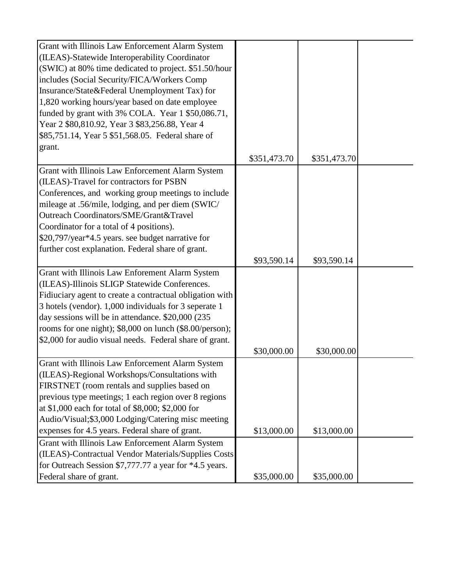| Grant with Illinois Law Enforcement Alarm System         |              |              |  |
|----------------------------------------------------------|--------------|--------------|--|
| (ILEAS)-Statewide Interoperability Coordinator           |              |              |  |
| (SWIC) at 80% time dedicated to project. \$51.50/hour    |              |              |  |
| includes (Social Security/FICA/Workers Comp              |              |              |  |
| Insurance/State&Federal Unemployment Tax) for            |              |              |  |
| 1,820 working hours/year based on date employee          |              |              |  |
| funded by grant with 3% COLA. Year 1 \$50,086.71,        |              |              |  |
| Year 2 \$80,810.92, Year 3 \$83,256.88, Year 4           |              |              |  |
| \$85,751.14, Year 5 \$51,568.05. Federal share of        |              |              |  |
| grant.                                                   |              |              |  |
|                                                          | \$351,473.70 | \$351,473.70 |  |
| Grant with Illinois Law Enforcement Alarm System         |              |              |  |
| (ILEAS)-Travel for contractors for PSBN                  |              |              |  |
| Conferences, and working group meetings to include       |              |              |  |
| mileage at .56/mile, lodging, and per diem (SWIC/        |              |              |  |
| Outreach Coordinators/SME/Grant&Travel                   |              |              |  |
| Coordinator for a total of 4 positions).                 |              |              |  |
| \$20,797/year*4.5 years. see budget narrative for        |              |              |  |
| further cost explanation. Federal share of grant.        |              |              |  |
|                                                          | \$93,590.14  | \$93,590.14  |  |
| Grant with Illinois Law Enforement Alarm System          |              |              |  |
| (ILEAS)-Illinois SLIGP Statewide Conferences.            |              |              |  |
| Fidiuciary agent to create a contractual obligation with |              |              |  |
| 3 hotels (vendor). 1,000 individuals for 3 seperate 1    |              |              |  |
| day sessions will be in attendance. \$20,000 (235)       |              |              |  |
| rooms for one night); \$8,000 on lunch (\$8.00/person);  |              |              |  |
| \$2,000 for audio visual needs. Federal share of grant.  |              |              |  |
|                                                          | \$30,000.00  | \$30,000.00  |  |
| Grant with Illinois Law Enforcement Alarm System         |              |              |  |
| (ILEAS)-Regional Workshops/Consultations with            |              |              |  |
| FIRSTNET (room rentals and supplies based on             |              |              |  |
| previous type meetings; 1 each region over 8 regions     |              |              |  |
| at \$1,000 each for total of \$8,000; \$2,000 for        |              |              |  |
| Audio/Visual;\$3,000 Lodging/Catering misc meeting       |              |              |  |
| expenses for 4.5 years. Federal share of grant.          | \$13,000.00  | \$13,000.00  |  |
| Grant with Illinois Law Enforcement Alarm System         |              |              |  |
| (ILEAS)-Contractual Vendor Materials/Supplies Costs      |              |              |  |
| for Outreach Session \$7,777.77 a year for *4.5 years.   |              |              |  |
| Federal share of grant.                                  | \$35,000.00  | \$35,000.00  |  |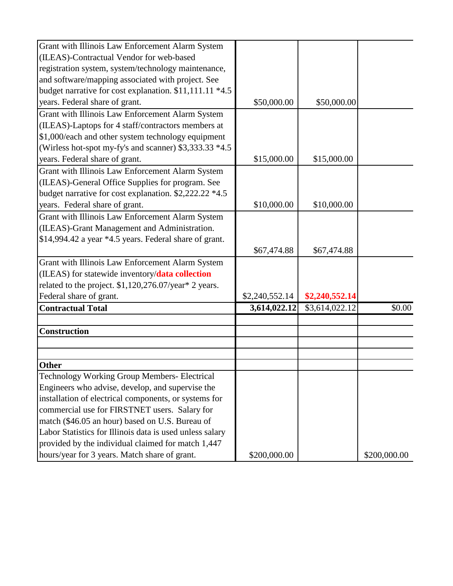| Grant with Illinois Law Enforcement Alarm System         |                |                |              |
|----------------------------------------------------------|----------------|----------------|--------------|
| (ILEAS)-Contractual Vendor for web-based                 |                |                |              |
| registration system, system/technology maintenance,      |                |                |              |
| and software/mapping associated with project. See        |                |                |              |
| budget narrative for cost explanation. \$11,111.11 *4.5  |                |                |              |
| years. Federal share of grant.                           | \$50,000.00    | \$50,000.00    |              |
| Grant with Illinois Law Enforcement Alarm System         |                |                |              |
| (ILEAS)-Laptops for 4 staff/contractors members at       |                |                |              |
| \$1,000/each and other system technology equipment       |                |                |              |
| (Wirless hot-spot my-fy's and scanner) \$3,333.33 *4.5   |                |                |              |
| years. Federal share of grant.                           | \$15,000.00    | \$15,000.00    |              |
| Grant with Illinois Law Enforcement Alarm System         |                |                |              |
| (ILEAS)-General Office Supplies for program. See         |                |                |              |
| budget narrative for cost explanation. \$2,222.22 *4.5   |                |                |              |
| years. Federal share of grant.                           | \$10,000.00    | \$10,000.00    |              |
| Grant with Illinois Law Enforcement Alarm System         |                |                |              |
| (ILEAS)-Grant Management and Administration.             |                |                |              |
| \$14,994.42 a year *4.5 years. Federal share of grant.   |                |                |              |
|                                                          | \$67,474.88    | \$67,474.88    |              |
| Grant with Illinois Law Enforcement Alarm System         |                |                |              |
| (ILEAS) for statewide inventory/data collection          |                |                |              |
| related to the project. \$1,120,276.07/year* 2 years.    |                |                |              |
| Federal share of grant.                                  | \$2,240,552.14 | \$2,240,552.14 |              |
| <b>Contractual Total</b>                                 | 3,614,022.12   | \$3,614,022.12 | \$0.00       |
|                                                          |                |                |              |
| <b>Construction</b>                                      |                |                |              |
|                                                          |                |                |              |
|                                                          |                |                |              |
| <b>Other</b>                                             |                |                |              |
| <b>Technology Working Group Members- Electrical</b>      |                |                |              |
| Engineers who advise, develop, and supervise the         |                |                |              |
| installation of electrical components, or systems for    |                |                |              |
| commercial use for FIRSTNET users. Salary for            |                |                |              |
| match (\$46.05 an hour) based on U.S. Bureau of          |                |                |              |
| Labor Statistics for Illinois data is used unless salary |                |                |              |
| provided by the individual claimed for match 1,447       |                |                |              |
| hours/year for 3 years. Match share of grant.            | \$200,000.00   |                | \$200,000.00 |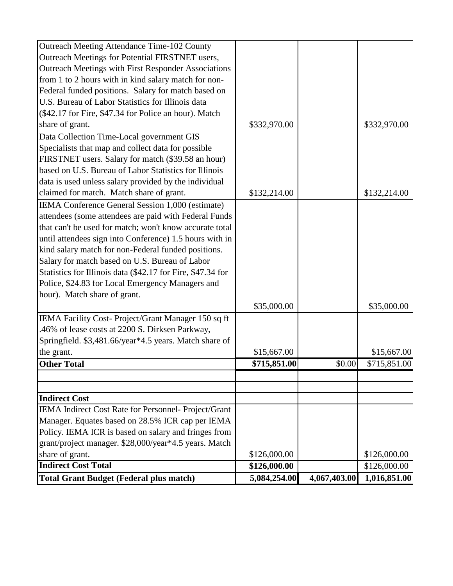| <b>Total Grant Budget (Federal plus match)</b>                                                              | 5,084,254.00 | 4,067,403.00 | 1,016,851.00 |
|-------------------------------------------------------------------------------------------------------------|--------------|--------------|--------------|
| <b>Indirect Cost Total</b>                                                                                  | \$126,000.00 |              | \$126,000.00 |
| share of grant.                                                                                             | \$126,000.00 |              | \$126,000.00 |
| grant/project manager. \$28,000/year*4.5 years. Match                                                       |              |              |              |
| Policy. IEMA ICR is based on salary and fringes from                                                        |              |              |              |
| Manager. Equates based on 28.5% ICR cap per IEMA                                                            |              |              |              |
| IEMA Indirect Cost Rate for Personnel- Project/Grant                                                        |              |              |              |
| <b>Indirect Cost</b>                                                                                        |              |              |              |
|                                                                                                             |              |              |              |
| <b>Other Total</b>                                                                                          | \$715,851.00 | \$0.00       | \$715,851.00 |
| the grant.                                                                                                  | \$15,667.00  |              | \$15,667.00  |
| Springfield. \$3,481.66/year*4.5 years. Match share of                                                      |              |              |              |
| .46% of lease costs at 2200 S. Dirksen Parkway,                                                             |              |              |              |
| IEMA Facility Cost- Project/Grant Manager 150 sq ft                                                         |              |              |              |
|                                                                                                             | \$35,000.00  |              | \$35,000.00  |
| hour). Match share of grant.                                                                                |              |              |              |
| Police, \$24.83 for Local Emergency Managers and                                                            |              |              |              |
| Statistics for Illinois data (\$42.17 for Fire, \$47.34 for                                                 |              |              |              |
| Salary for match based on U.S. Bureau of Labor                                                              |              |              |              |
| kind salary match for non-Federal funded positions.                                                         |              |              |              |
| until attendees sign into Conference) 1.5 hours with in                                                     |              |              |              |
| that can't be used for match; won't know accurate total                                                     |              |              |              |
| attendees (some attendees are paid with Federal Funds                                                       |              |              |              |
| IEMA Conference General Session 1,000 (estimate)                                                            |              |              |              |
| claimed for match. Match share of grant.                                                                    | \$132,214.00 |              | \$132,214.00 |
| data is used unless salary provided by the individual                                                       |              |              |              |
| based on U.S. Bureau of Labor Statistics for Illinois                                                       |              |              |              |
| FIRSTNET users. Salary for match (\$39.58 an hour)                                                          |              |              |              |
| Specialists that map and collect data for possible                                                          |              |              |              |
| Data Collection Time-Local government GIS                                                                   |              |              |              |
| share of grant.                                                                                             | \$332,970.00 |              | \$332,970.00 |
| (\$42.17 for Fire, \$47.34 for Police an hour). Match                                                       |              |              |              |
| U.S. Bureau of Labor Statistics for Illinois data                                                           |              |              |              |
| from 1 to 2 hours with in kind salary match for non-<br>Federal funded positions. Salary for match based on |              |              |              |
| Outreach Meetings with First Responder Associations                                                         |              |              |              |
| Outreach Meetings for Potential FIRSTNET users,                                                             |              |              |              |
| Outreach Meeting Attendance Time-102 County                                                                 |              |              |              |
|                                                                                                             |              |              |              |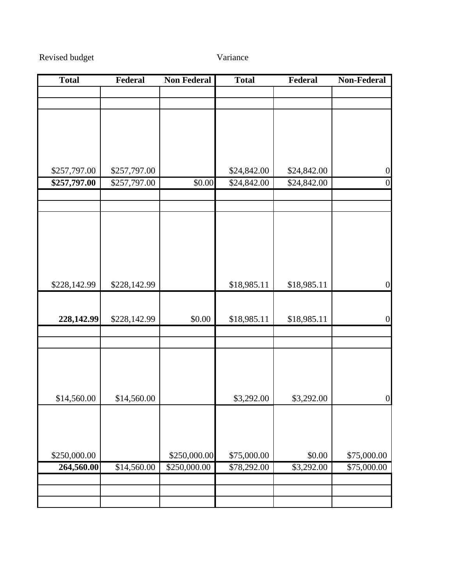# Revised budget Variance

| <b>Total</b> | Federal      | <b>Non Federal</b> | <b>Total</b> | Federal     | Non-Federal      |
|--------------|--------------|--------------------|--------------|-------------|------------------|
|              |              |                    |              |             |                  |
|              |              |                    |              |             |                  |
|              |              |                    |              |             |                  |
|              |              |                    |              |             |                  |
|              |              |                    |              |             |                  |
|              |              |                    |              |             |                  |
| \$257,797.00 | \$257,797.00 |                    | \$24,842.00  | \$24,842.00 | $\boldsymbol{0}$ |
| \$257,797.00 | \$257,797.00 | \$0.00             | \$24,842.00  | \$24,842.00 | $\overline{0}$   |
|              |              |                    |              |             |                  |
|              |              |                    |              |             |                  |
|              |              |                    |              |             |                  |
|              |              |                    |              |             |                  |
|              |              |                    |              |             |                  |
|              |              |                    |              |             |                  |
|              |              |                    |              |             |                  |
| \$228,142.99 | \$228,142.99 |                    | \$18,985.11  | \$18,985.11 | $\boldsymbol{0}$ |
|              |              |                    |              |             |                  |
|              |              |                    |              |             |                  |
| 228,142.99   | \$228,142.99 | \$0.00             | \$18,985.11  | \$18,985.11 | $\boldsymbol{0}$ |
|              |              |                    |              |             |                  |
|              |              |                    |              |             |                  |
|              |              |                    |              |             |                  |
|              |              |                    |              |             |                  |
|              |              |                    |              |             |                  |
| \$14,560.00  | \$14,560.00  |                    | \$3,292.00   | \$3,292.00  | $\boldsymbol{0}$ |
|              |              |                    |              |             |                  |
|              |              |                    |              |             |                  |
|              |              |                    |              |             |                  |
| \$250,000.00 |              | \$250,000.00       | \$75,000.00  | \$0.00      | \$75,000.00      |
| 264,560.00   | \$14,560.00  | \$250,000.00       | \$78,292.00  | \$3,292.00  | \$75,000.00      |
|              |              |                    |              |             |                  |
|              |              |                    |              |             |                  |
|              |              |                    |              |             |                  |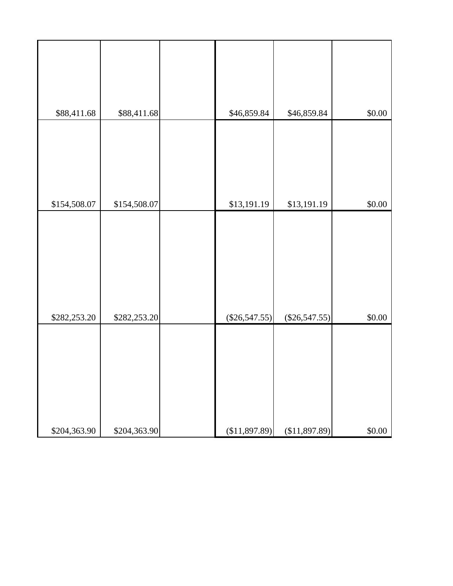| \$88,411.68  | \$88,411.68  | \$46,859.84     | \$46,859.84     | $\$0.00$ |
|--------------|--------------|-----------------|-----------------|----------|
|              |              |                 |                 |          |
| \$154,508.07 | \$154,508.07 | \$13,191.19     | \$13,191.19     | \$0.00   |
|              |              |                 |                 |          |
| \$282,253.20 | \$282,253.20 | $(\$26,547.55)$ | $(\$26,547.55)$ | \$0.00   |
| \$204,363.90 | \$204,363.90 | (\$11,897.89)   | (\$11,897.89)   | \$0.00   |
|              |              |                 |                 |          |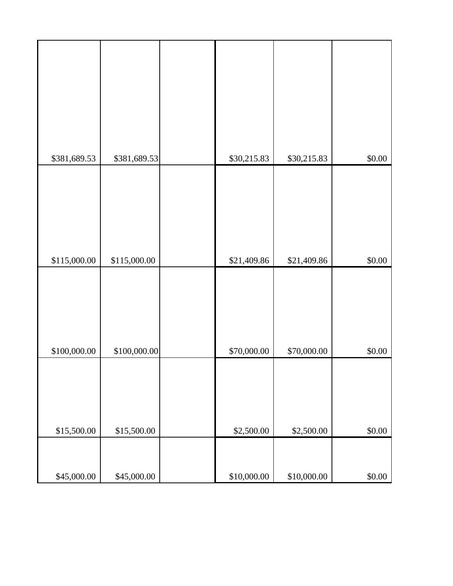| \$381,689.53 | \$381,689.53 | \$30,215.83 | \$30,215.83 | $\$0.00$ |
|--------------|--------------|-------------|-------------|----------|
|              |              |             |             |          |
|              |              |             |             |          |
| \$115,000.00 | \$115,000.00 | \$21,409.86 | \$21,409.86 | $\$0.00$ |
|              |              |             |             |          |
| \$100,000.00 | \$100,000.00 | \$70,000.00 | \$70,000.00 | \$0.00   |
|              |              |             |             |          |
| \$15,500.00  | \$15,500.00  | \$2,500.00  | \$2,500.00  | \$0.00   |
| \$45,000.00  | \$45,000.00  | \$10,000.00 | \$10,000.00 | \$0.00   |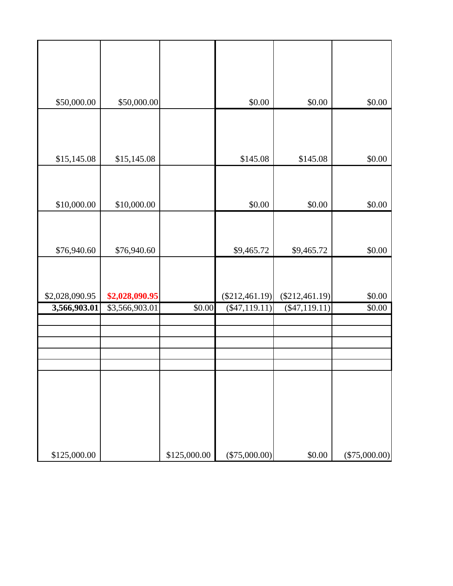| \$50,000.00    | \$50,000.00    |              | \$0.00           | \$0.00           | \$0.00          |
|----------------|----------------|--------------|------------------|------------------|-----------------|
|                |                |              |                  |                  |                 |
| \$15,145.08    | \$15,145.08    |              | \$145.08         | \$145.08         | \$0.00          |
|                |                |              |                  |                  |                 |
| \$10,000.00    | \$10,000.00    |              | \$0.00           | \$0.00           | \$0.00          |
| \$76,940.60    | \$76,940.60    |              | \$9,465.72       | \$9,465.72       | \$0.00          |
| \$2,028,090.95 | \$2,028,090.95 |              | $(\$212,461.19)$ | $(\$212,461.19)$ | \$0.00          |
| 3,566,903.01   | \$3,566,903.01 | \$0.00       | $(\$47,119.11)$  | $(\$47,119.11)$  | \$0.00          |
|                |                |              |                  |                  |                 |
|                |                |              |                  |                  |                 |
|                |                |              |                  |                  |                 |
|                |                |              |                  |                  |                 |
| \$125,000.00   |                | \$125,000.00 | $(\$75,000.00)$  | \$0.00           | $(\$75,000.00)$ |